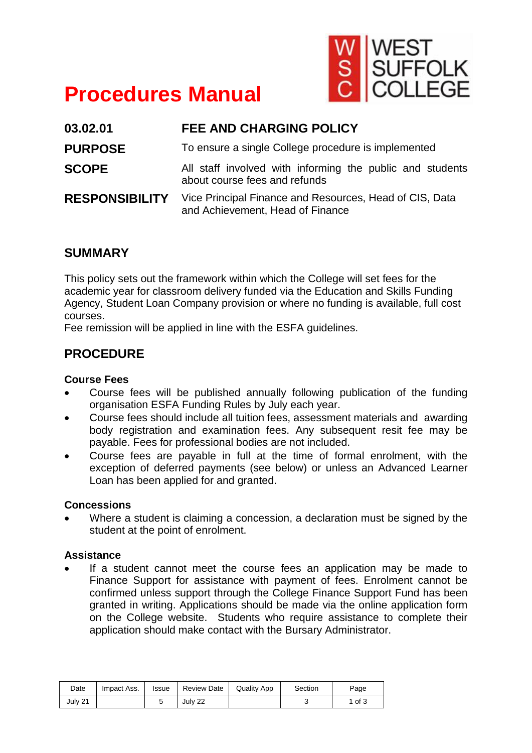

# **Procedures Manual**

| 03.02.01              | <b>FEE AND CHARGING POLICY</b>                                                              |  |  |  |  |  |
|-----------------------|---------------------------------------------------------------------------------------------|--|--|--|--|--|
| <b>PURPOSE</b>        | To ensure a single College procedure is implemented                                         |  |  |  |  |  |
| <b>SCOPE</b>          | All staff involved with informing the public and students<br>about course fees and refunds  |  |  |  |  |  |
| <b>RESPONSIBILITY</b> | Vice Principal Finance and Resources, Head of CIS, Data<br>and Achievement, Head of Finance |  |  |  |  |  |

## **SUMMARY**

This policy sets out the framework within which the College will set fees for the academic year for classroom delivery funded via the Education and Skills Funding Agency, Student Loan Company provision or where no funding is available, full cost courses.

Fee remission will be applied in line with the ESFA guidelines.

# **PROCEDURE**

## **Course Fees**

- Course fees will be published annually following publication of the funding organisation ESFA Funding Rules by July each year.
- Course fees should include all tuition fees, assessment materials and awarding body registration and examination fees. Any subsequent resit fee may be payable. Fees for professional bodies are not included.
- Course fees are payable in full at the time of formal enrolment, with the exception of deferred payments (see below) or unless an Advanced Learner Loan has been applied for and granted.

## **Concessions**

• Where a student is claiming a concession, a declaration must be signed by the student at the point of enrolment.

## **Assistance**

If a student cannot meet the course fees an application may be made to Finance Support for assistance with payment of fees. Enrolment cannot be confirmed unless support through the College Finance Support Fund has been granted in writing. Applications should be made via the online application form on the College website. Students who require assistance to complete their application should make contact with the Bursary Administrator.

| Date    | Impact Ass. | Issue | <b>Review Date</b> | <b>Quality App</b> | Section | Page |
|---------|-------------|-------|--------------------|--------------------|---------|------|
| July 21 |             |       | July 22            |                    |         | of 3 |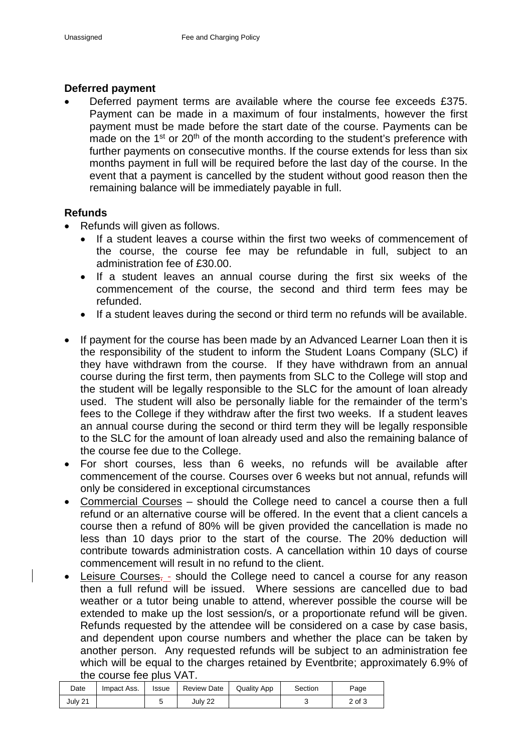#### **Deferred payment**

Deferred payment terms are available where the course fee exceeds £375. Payment can be made in a maximum of four instalments, however the first payment must be made before the start date of the course. Payments can be made on the  $1<sup>st</sup>$  or  $20<sup>th</sup>$  of the month according to the student's preference with further payments on consecutive months. If the course extends for less than six months payment in full will be required before the last day of the course. In the event that a payment is cancelled by the student without good reason then the remaining balance will be immediately payable in full.

## **Refunds**

- Refunds will given as follows.
	- If a student leaves a course within the first two weeks of commencement of the course, the course fee may be refundable in full, subject to an administration fee of £30.00.
	- If a student leaves an annual course during the first six weeks of the commencement of the course, the second and third term fees may be refunded.
	- If a student leaves during the second or third term no refunds will be available.
- If payment for the course has been made by an Advanced Learner Loan then it is the responsibility of the student to inform the Student Loans Company (SLC) if they have withdrawn from the course. If they have withdrawn from an annual course during the first term, then payments from SLC to the College will stop and the student will be legally responsible to the SLC for the amount of loan already used. The student will also be personally liable for the remainder of the term's fees to the College if they withdraw after the first two weeks. If a student leaves an annual course during the second or third term they will be legally responsible to the SLC for the amount of loan already used and also the remaining balance of the course fee due to the College.
- For short courses, less than 6 weeks, no refunds will be available after commencement of the course. Courses over 6 weeks but not annual, refunds will only be considered in exceptional circumstances
- Commercial Courses should the College need to cancel a course then a full refund or an alternative course will be offered. In the event that a client cancels a course then a refund of 80% will be given provided the cancellation is made no less than 10 days prior to the start of the course. The 20% deduction will contribute towards administration costs. A cancellation within 10 days of course commencement will result in no refund to the client.
- Leisure Courses, should the College need to cancel a course for any reason then a full refund will be issued. Where sessions are cancelled due to bad weather or a tutor being unable to attend, wherever possible the course will be extended to make up the lost session/s, or a proportionate refund will be given. Refunds requested by the attendee will be considered on a case by case basis, and dependent upon course numbers and whether the place can be taken by another person. Any requested refunds will be subject to an administration fee which will be equal to the charges retained by Eventbrite; approximately 6.9% of the course fee plus VAT.

| Date    | Impact Ass. | Issue | <b>Review Date</b> | <b>Quality App</b> | Section | Page   |
|---------|-------------|-------|--------------------|--------------------|---------|--------|
| July 21 |             |       | July 22            |                    |         | 2 of 3 |